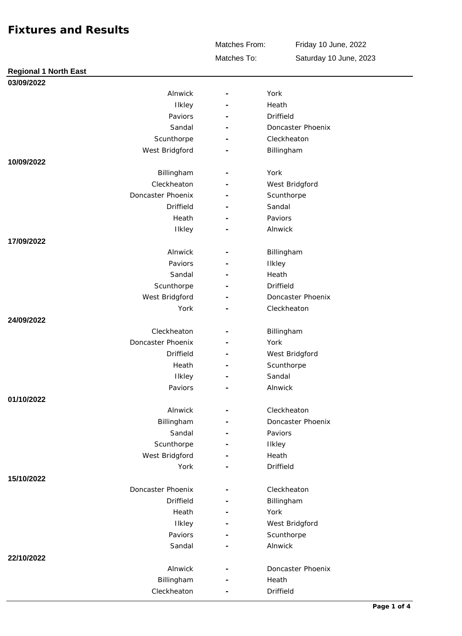Matches From:

Friday 10 June, 2022 Saturday 10 June, 2023

Matches To:

| <b>Regional 1 North East</b> |                          |                   |  |
|------------------------------|--------------------------|-------------------|--|
| 03/09/2022                   |                          |                   |  |
| Alnwick                      | $\equiv$                 | York              |  |
| Ilkley                       |                          | Heath             |  |
| Paviors                      |                          | Driffield         |  |
| Sandal                       |                          | Doncaster Phoenix |  |
| Scunthorpe                   |                          | Cleckheaton       |  |
| West Bridgford               |                          | Billingham        |  |
| 10/09/2022                   |                          |                   |  |
| Billingham                   |                          | York              |  |
| Cleckheaton                  | $\overline{\phantom{a}}$ | West Bridgford    |  |
| Doncaster Phoenix            |                          | Scunthorpe        |  |
| <b>Driffield</b>             |                          | Sandal            |  |
| Heath                        |                          | Paviors           |  |
| <b>Ilkley</b>                |                          | Alnwick           |  |
| 17/09/2022                   |                          |                   |  |
| Alnwick                      |                          | Billingham        |  |
| Paviors                      |                          | <b>Ilkley</b>     |  |
| Sandal                       |                          | Heath             |  |
| Scunthorpe                   |                          | Driffield         |  |
| West Bridgford               |                          | Doncaster Phoenix |  |
| York                         |                          | Cleckheaton       |  |
| 24/09/2022                   |                          |                   |  |
| Cleckheaton                  |                          | Billingham        |  |
| Doncaster Phoenix            |                          | York              |  |
| <b>Driffield</b>             |                          | West Bridgford    |  |
| Heath                        | $\overline{\phantom{a}}$ | Scunthorpe        |  |
| <b>Ilkley</b>                |                          | Sandal            |  |
| Paviors                      |                          | Alnwick           |  |
| 01/10/2022                   |                          |                   |  |
| Alnwick                      |                          | Cleckheaton       |  |
| Billingham                   |                          | Doncaster Phoenix |  |
| Sandal                       |                          | Paviors           |  |
| Scunthorpe                   |                          | <b>Ilkley</b>     |  |
| West Bridgford               |                          | Heath             |  |
| York                         |                          | Driffield         |  |
| 15/10/2022                   |                          |                   |  |
| Doncaster Phoenix            |                          | Cleckheaton       |  |
| <b>Driffield</b>             |                          | Billingham        |  |
| Heath                        |                          | York              |  |
| Ilkley                       |                          | West Bridgford    |  |
| Paviors                      |                          | Scunthorpe        |  |
| Sandal                       |                          | Alnwick           |  |
| 22/10/2022                   |                          |                   |  |
| Alnwick                      |                          | Doncaster Phoenix |  |
| Billingham                   |                          | Heath             |  |
| Cleckheaton                  |                          | Driffield         |  |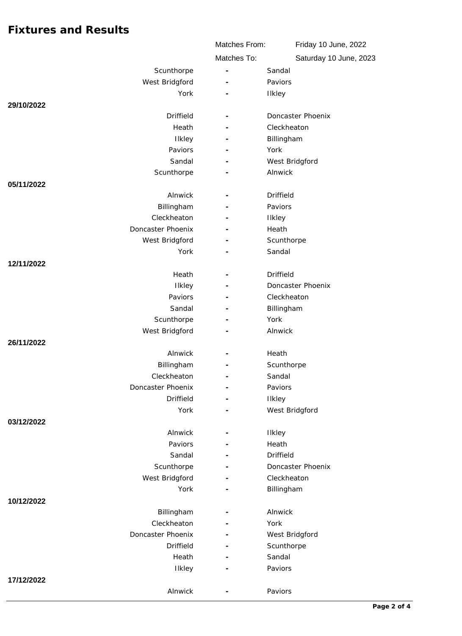|                           | Matches From:            | Friday 10 June, 2022   |
|---------------------------|--------------------------|------------------------|
|                           | Matches To:              | Saturday 10 June, 2023 |
| Scunthorpe                | ÷,                       | Sandal                 |
| West Bridgford            |                          | Paviors                |
| York                      |                          | Ilkley                 |
| 29/10/2022                |                          |                        |
| Driffield                 |                          | Doncaster Phoenix      |
| Heath                     |                          | Cleckheaton            |
| Ilkley                    |                          | Billingham             |
| Paviors                   | L.                       | York                   |
| Sandal                    |                          | West Bridgford         |
| Scunthorpe                |                          | Alnwick                |
| 05/11/2022                |                          |                        |
| Alnwick                   | $\overline{\phantom{m}}$ | <b>Driffield</b>       |
| Billingham                |                          | Paviors                |
| Cleckheaton               |                          | Ilkley                 |
| Doncaster Phoenix         |                          | Heath                  |
| West Bridgford            |                          | Scunthorpe             |
| York                      |                          | Sandal                 |
| 12/11/2022                |                          |                        |
| Heath                     |                          | Driffield              |
| Ilkley                    |                          | Doncaster Phoenix      |
| Paviors                   |                          | Cleckheaton            |
| Sandal                    |                          | Billingham             |
| Scunthorpe                |                          | York                   |
| West Bridgford            |                          | Alnwick                |
| 26/11/2022                |                          |                        |
| Alnwick                   |                          | Heath                  |
| Billingham<br>Cleckheaton |                          | Scunthorpe<br>Sandal   |
| Doncaster Phoenix         |                          | Paviors                |
| <b>Driffield</b>          |                          | Ilkley                 |
| York                      |                          | West Bridgford         |
| 03/12/2022                |                          |                        |
| Alnwick                   |                          | Ilkley                 |
| Paviors                   |                          | Heath                  |
| Sandal                    |                          | <b>Driffield</b>       |
| Scunthorpe                |                          | Doncaster Phoenix      |
| West Bridgford            |                          | Cleckheaton            |
| York                      |                          | Billingham             |
| 10/12/2022                |                          |                        |
| Billingham                |                          | Alnwick                |
| Cleckheaton               |                          | York                   |
| Doncaster Phoenix         |                          | West Bridgford         |
| <b>Driffield</b>          |                          | Scunthorpe             |
| Heath                     |                          | Sandal                 |
| Ilkley                    |                          | Paviors                |
| 17/12/2022                |                          |                        |
| Alnwick                   |                          | Paviors                |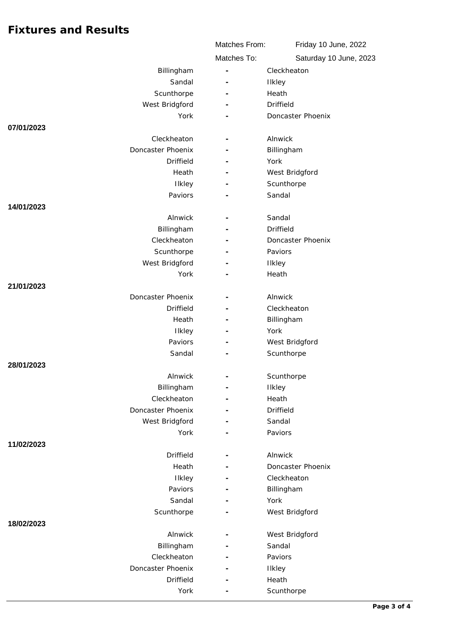|                                  | Matches From:            | Friday 10 June, 2022   |  |
|----------------------------------|--------------------------|------------------------|--|
|                                  | Matches To:              | Saturday 10 June, 2023 |  |
| Billingham                       |                          | Cleckheaton            |  |
| Sandal                           | $\overline{a}$           | Ilkley                 |  |
| Scunthorpe                       |                          | Heath                  |  |
| West Bridgford                   |                          | Driffield              |  |
| York                             |                          | Doncaster Phoenix      |  |
| 07/01/2023                       |                          |                        |  |
| Cleckheaton                      | ÷,                       | Alnwick                |  |
| Doncaster Phoenix                |                          | Billingham             |  |
| <b>Driffield</b>                 |                          | York                   |  |
| Heath                            |                          | West Bridgford         |  |
| Ilkley                           |                          | Scunthorpe             |  |
| Paviors                          |                          | Sandal                 |  |
| 14/01/2023                       |                          |                        |  |
| Alnwick                          |                          | Sandal                 |  |
| Billingham                       |                          | Driffield              |  |
| Cleckheaton                      |                          | Doncaster Phoenix      |  |
| Scunthorpe                       |                          | Paviors                |  |
| West Bridgford                   |                          | Ilkley                 |  |
| York                             |                          | Heath                  |  |
| 21/01/2023                       |                          |                        |  |
| Doncaster Phoenix                |                          | Alnwick                |  |
| Driffield                        |                          | Cleckheaton            |  |
| Heath                            |                          | Billingham             |  |
| Ilkley                           |                          | York                   |  |
| Paviors                          |                          | West Bridgford         |  |
| Sandal                           |                          | Scunthorpe             |  |
| 28/01/2023                       |                          |                        |  |
| Alnwick                          |                          | Scunthorpe             |  |
| Billingham                       | $\overline{\phantom{a}}$ | <b>Ilkley</b>          |  |
| Cleckheaton<br>Doncaster Phoenix | $\overline{\phantom{a}}$ | Heath                  |  |
| West Bridgford                   |                          | Driffield<br>Sandal    |  |
| York                             |                          | Paviors                |  |
| 11/02/2023                       |                          |                        |  |
| Driffield                        |                          | Alnwick                |  |
| Heath                            |                          | Doncaster Phoenix      |  |
| Ilkley                           |                          | Cleckheaton            |  |
| Paviors                          |                          | Billingham             |  |
| Sandal                           |                          | York                   |  |
| Scunthorpe                       |                          | West Bridgford         |  |
| 18/02/2023                       |                          |                        |  |
| Alnwick                          | $\overline{\phantom{a}}$ | West Bridgford         |  |
| Billingham                       |                          | Sandal                 |  |
| Cleckheaton                      |                          | Paviors                |  |
| Doncaster Phoenix                |                          | Ilkley                 |  |
| <b>Driffield</b>                 |                          | Heath                  |  |
| York                             |                          | Scunthorpe             |  |
|                                  |                          |                        |  |